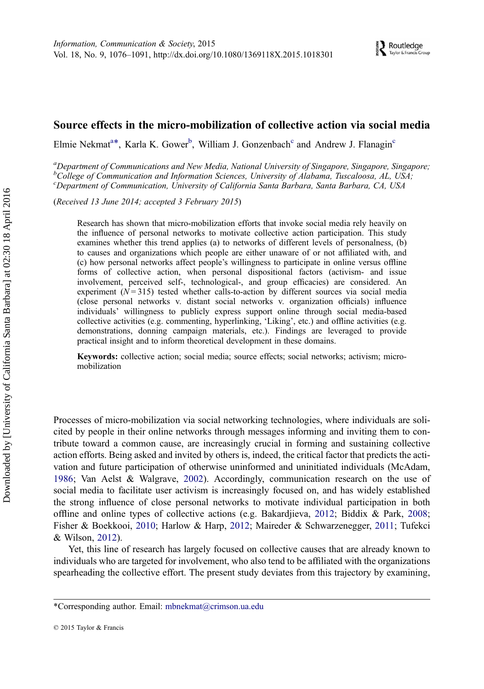# Source effects in the micro-mobilization of collective action via social media

Elmie Nekmat<sup>a\*</sup>, Karla K. Gower<sup>b</sup>, William J. Gonzenbach<sup>c</sup> and Andrew J. Flanagin<sup>c</sup>

<sup>a</sup>Department of Communications and New Media, National University of Singapore, Singapore, Singapore; <sup>b</sup>College of Communication and Information Sciences, University of Alabama, Tuscaloosa, AL, USA; c Department of Communication, University of California Santa Barbara, Santa Barbara, CA, USA

(Received 13 June 2014; accepted 3 February 2015)

Research has shown that micro-mobilization efforts that invoke social media rely heavily on the influence of personal networks to motivate collective action participation. This study examines whether this trend applies (a) to networks of different levels of personalness, (b) to causes and organizations which people are either unaware of or not affiliated with, and (c) how personal networks affect people's willingness to participate in online versus offline forms of collective action, when personal dispositional factors (activism- and issue involvement, perceived self-, technological-, and group efficacies) are considered. An experiment  $(N=315)$  tested whether calls-to-action by different sources via social media (close personal networks v. distant social networks v. organization officials) influence individuals' willingness to publicly express support online through social media-based collective activities (e.g. commenting, hyperlinking, 'Liking', etc.) and offline activities (e.g. demonstrations, donning campaign materials, etc.). Findings are leveraged to provide practical insight and to inform theoretical development in these domains.

Keywords: collective action; social media; source effects; social networks; activism; micromobilization

Processes of micro-mobilization via social networking technologies, where individuals are solicited by people in their online networks through messages informing and inviting them to contribute toward a common cause, are increasingly crucial in forming and sustaining collective action efforts. Being asked and invited by others is, indeed, the critical factor that predicts the activation and future participation of otherwise uninformed and uninitiated individuals (McAdam, [1986;](#page-14-0) Van Aelst & Walgrave, [2002](#page-15-0)). Accordingly, communication research on the use of social media to facilitate user activism is increasingly focused on, and has widely established the strong influence of close personal networks to motivate individual participation in both offline and online types of collective actions (e.g. Bakardjieva, [2012;](#page-13-0) Biddix & Park, [2008;](#page-13-0) Fisher & Boekkooi, [2010;](#page-14-0) Harlow & Harp, [2012;](#page-14-0) Maireder & Schwarzenegger, [2011](#page-14-0); Tufekci & Wilson, [2012](#page-15-0)).

Yet, this line of research has largely focused on collective causes that are already known to individuals who are targeted for involvement, who also tend to be affiliated with the organizations spearheading the collective effort. The present study deviates from this trajectory by examining,

<sup>\*</sup>Corresponding author. Email: [mbnekmat@crimson.ua.edu](mailto:mbnekmat@crimson.ua.edu)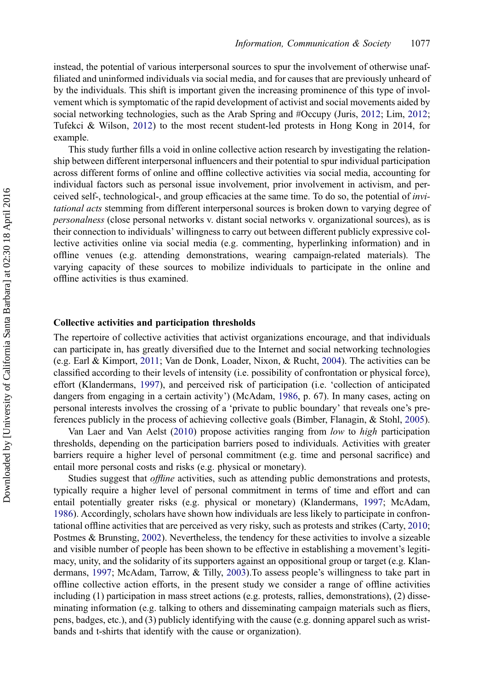instead, the potential of various interpersonal sources to spur the involvement of otherwise unaffiliated and uninformed individuals via social media, and for causes that are previously unheard of by the individuals. This shift is important given the increasing prominence of this type of involvement which is symptomatic of the rapid development of activist and social movements aided by social networking technologies, such as the Arab Spring and #Occupy (Juris, [2012](#page-14-0); Lim, [2012;](#page-14-0) Tufekci & Wilson, [2012\)](#page-15-0) to the most recent student-led protests in Hong Kong in 2014, for example.

This study further fills a void in online collective action research by investigating the relationship between different interpersonal influencers and their potential to spur individual participation across different forms of online and offline collective activities via social media, accounting for individual factors such as personal issue involvement, prior involvement in activism, and perceived self-, technological-, and group efficacies at the same time. To do so, the potential of invitational acts stemming from different interpersonal sources is broken down to varying degree of personalness (close personal networks v. distant social networks v. organizational sources), as is their connection to individuals' willingness to carry out between different publicly expressive collective activities online via social media (e.g. commenting, hyperlinking information) and in offline venues (e.g. attending demonstrations, wearing campaign-related materials). The varying capacity of these sources to mobilize individuals to participate in the online and offline activities is thus examined.

#### Collective activities and participation thresholds

The repertoire of collective activities that activist organizations encourage, and that individuals can participate in, has greatly diversified due to the Internet and social networking technologies (e.g. Earl & Kimport, [2011;](#page-14-0) Van de Donk, Loader, Nixon, & Rucht, [2004](#page-15-0)). The activities can be classified according to their levels of intensity (i.e. possibility of confrontation or physical force), effort (Klandermans, [1997\)](#page-14-0), and perceived risk of participation (i.e. 'collection of anticipated dangers from engaging in a certain activity') (McAdam, [1986,](#page-14-0) p. 67). In many cases, acting on personal interests involves the crossing of a 'private to public boundary' that reveals one's preferences publicly in the process of achieving collective goals (Bimber, Flanagin, & Stohl, [2005\)](#page-13-0).

Van Laer and Van Aelst [\(2010](#page-15-0)) propose activities ranging from low to high participation thresholds, depending on the participation barriers posed to individuals. Activities with greater barriers require a higher level of personal commitment (e.g. time and personal sacrifice) and entail more personal costs and risks (e.g. physical or monetary).

Studies suggest that *offline* activities, such as attending public demonstrations and protests, typically require a higher level of personal commitment in terms of time and effort and can entail potentially greater risks (e.g. physical or monetary) (Klandermans, [1997;](#page-14-0) McAdam, [1986\)](#page-14-0). Accordingly, scholars have shown how individuals are less likely to participate in confrontational offline activities that are perceived as very risky, such as protests and strikes (Carty, [2010;](#page-13-0) Postmes & Brunsting, [2002\)](#page-15-0). Nevertheless, the tendency for these activities to involve a sizeable and visible number of people has been shown to be effective in establishing a movement's legitimacy, unity, and the solidarity of its supporters against an oppositional group or target (e.g. Klandermans, [1997;](#page-14-0) McAdam, Tarrow, & Tilly, [2003\)](#page-14-0).To assess people's willingness to take part in offline collective action efforts, in the present study we consider a range of offline activities including (1) participation in mass street actions (e.g. protests, rallies, demonstrations), (2) disseminating information (e.g. talking to others and disseminating campaign materials such as fliers, pens, badges, etc.), and (3) publicly identifying with the cause (e.g. donning apparel such as wristbands and t-shirts that identify with the cause or organization).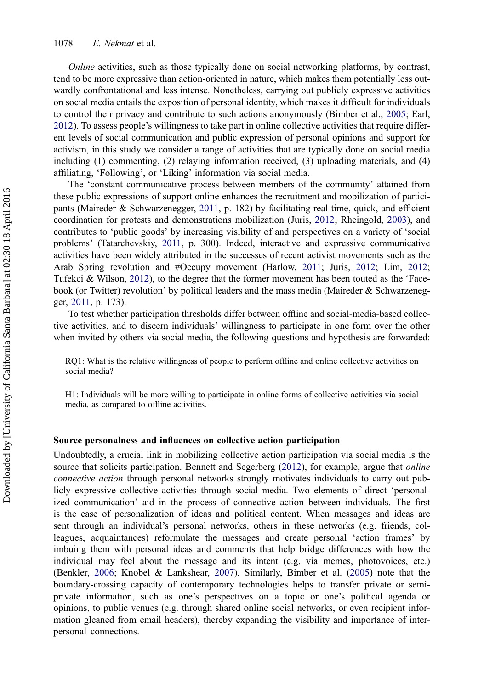Online activities, such as those typically done on social networking platforms, by contrast, tend to be more expressive than action-oriented in nature, which makes them potentially less outwardly confrontational and less intense. Nonetheless, carrying out publicly expressive activities on social media entails the exposition of personal identity, which makes it difficult for individuals to control their privacy and contribute to such actions anonymously (Bimber et al., [2005;](#page-13-0) Earl, [2012\)](#page-14-0). To assess people's willingness to take part in online collective activities that require different levels of social communication and public expression of personal opinions and support for activism, in this study we consider a range of activities that are typically done on social media including (1) commenting, (2) relaying information received, (3) uploading materials, and (4) affiliating, 'Following', or 'Liking' information via social media.

The 'constant communicative process between members of the community' attained from these public expressions of support online enhances the recruitment and mobilization of participants (Maireder & Schwarzenegger, [2011,](#page-14-0) p. 182) by facilitating real-time, quick, and efficient coordination for protests and demonstrations mobilization (Juris, [2012](#page-14-0); Rheingold, [2003\)](#page-15-0), and contributes to 'public goods' by increasing visibility of and perspectives on a variety of 'social problems' (Tatarchevskiy, [2011,](#page-15-0) p. 300). Indeed, interactive and expressive communicative activities have been widely attributed in the successes of recent activist movements such as the Arab Spring revolution and #Occupy movement (Harlow, [2011;](#page-14-0) Juris, [2012;](#page-14-0) Lim, [2012;](#page-14-0) Tufekci & Wilson, [2012](#page-15-0)), to the degree that the former movement has been touted as the 'Facebook (or Twitter) revolution' by political leaders and the mass media (Maireder & Schwarzenegger, [2011](#page-14-0), p. 173).

To test whether participation thresholds differ between offline and social-media-based collective activities, and to discern individuals' willingness to participate in one form over the other when invited by others via social media, the following questions and hypothesis are forwarded:

RQ1: What is the relative willingness of people to perform offline and online collective activities on social media?

H1: Individuals will be more willing to participate in online forms of collective activities via social media, as compared to offline activities.

#### Source personalness and influences on collective action participation

Undoubtedly, a crucial link in mobilizing collective action participation via social media is the source that solicits participation. Bennett and Segerberg [\(2012](#page-13-0)), for example, argue that *online* connective action through personal networks strongly motivates individuals to carry out publicly expressive collective activities through social media. Two elements of direct 'personalized communication' aid in the process of connective action between individuals. The first is the ease of personalization of ideas and political content. When messages and ideas are sent through an individual's personal networks, others in these networks (e.g. friends, colleagues, acquaintances) reformulate the messages and create personal 'action frames' by imbuing them with personal ideas and comments that help bridge differences with how the individual may feel about the message and its intent (e.g. via memes, photovoices, etc.) (Benkler, [2006](#page-13-0); Knobel & Lankshear, [2007\)](#page-14-0). Similarly, Bimber et al. ([2005\)](#page-13-0) note that the boundary-crossing capacity of contemporary technologies helps to transfer private or semiprivate information, such as one's perspectives on a topic or one's political agenda or opinions, to public venues (e.g. through shared online social networks, or even recipient information gleaned from email headers), thereby expanding the visibility and importance of interpersonal connections.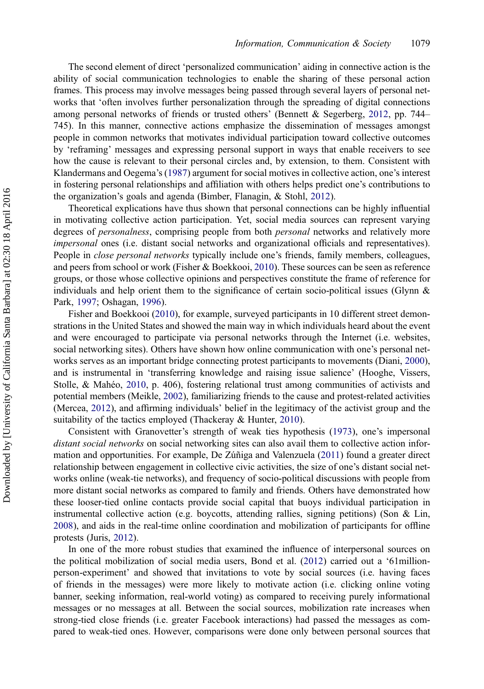The second element of direct 'personalized communication' aiding in connective action is the ability of social communication technologies to enable the sharing of these personal action frames. This process may involve messages being passed through several layers of personal networks that 'often involves further personalization through the spreading of digital connections among personal networks of friends or trusted others' (Bennett & Segerberg, [2012,](#page-13-0) pp. 744– 745). In this manner, connective actions emphasize the dissemination of messages amongst people in common networks that motivates individual participation toward collective outcomes by 'reframing' messages and expressing personal support in ways that enable receivers to see how the cause is relevant to their personal circles and, by extension, to them. Consistent with Klandermans and Oegema's ([1987\)](#page-14-0) argument for social motives in collective action, one's interest in fostering personal relationships and affiliation with others helps predict one's contributions to the organization's goals and agenda (Bimber, Flanagin, & Stohl, [2012\)](#page-13-0).

Theoretical explications have thus shown that personal connections can be highly influential in motivating collective action participation. Yet, social media sources can represent varying degrees of *personalness*, comprising people from both *personal* networks and relatively more impersonal ones (i.e. distant social networks and organizational officials and representatives). People in *close personal networks* typically include one's friends, family members, colleagues, and peers from school or work (Fisher & Boekkooi, [2010](#page-14-0)). These sources can be seen as reference groups, or those whose collective opinions and perspectives constitute the frame of reference for individuals and help orient them to the significance of certain socio-political issues (Glynn & Park, [1997](#page-14-0); Oshagan, [1996](#page-14-0)).

Fisher and Boekkooi [\(2010](#page-14-0)), for example, surveyed participants in 10 different street demonstrations in the United States and showed the main way in which individuals heard about the event and were encouraged to participate via personal networks through the Internet (i.e. websites, social networking sites). Others have shown how online communication with one's personal networks serves as an important bridge connecting protest participants to movements (Diani, [2000\)](#page-14-0), and is instrumental in 'transferring knowledge and raising issue salience' (Hooghe, Vissers, Stolle, & Mahéo, [2010,](#page-14-0) p. 406), fostering relational trust among communities of activists and potential members (Meikle, [2002\)](#page-14-0), familiarizing friends to the cause and protest-related activities (Mercea, [2012\)](#page-14-0), and affirming individuals' belief in the legitimacy of the activist group and the suitability of the tactics employed (Thackeray & Hunter, [2010](#page-15-0)).

Consistent with Granovetter's strength of weak ties hypothesis [\(1973](#page-14-0)), one's impersonal distant social networks on social networking sites can also avail them to collective action information and opportunities. For example, De Zúñiga and Valenzuela [\(2011\)](#page-15-0) found a greater direct relationship between engagement in collective civic activities, the size of one's distant social networks online (weak-tie networks), and frequency of socio-political discussions with people from more distant social networks as compared to family and friends. Others have demonstrated how these looser-tied online contacts provide social capital that buoys individual participation in instrumental collective action (e.g. boycotts, attending rallies, signing petitions) (Son & Lin, [2008\)](#page-15-0), and aids in the real-time online coordination and mobilization of participants for offline protests (Juris, [2012\)](#page-14-0).

In one of the more robust studies that examined the influence of interpersonal sources on the political mobilization of social media users, Bond et al. ([2012\)](#page-13-0) carried out a '61millionperson-experiment' and showed that invitations to vote by social sources (i.e. having faces of friends in the messages) were more likely to motivate action (i.e. clicking online voting banner, seeking information, real-world voting) as compared to receiving purely informational messages or no messages at all. Between the social sources, mobilization rate increases when strong-tied close friends (i.e. greater Facebook interactions) had passed the messages as compared to weak-tied ones. However, comparisons were done only between personal sources that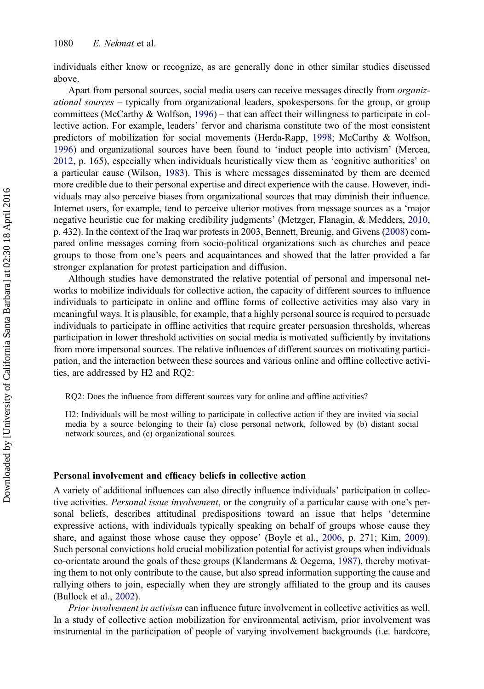individuals either know or recognize, as are generally done in other similar studies discussed above.

Apart from personal sources, social media users can receive messages directly from *organiz*ational sources – typically from organizational leaders, spokespersons for the group, or group committees (McCarthy & Wolfson, [1996\)](#page-14-0) – that can affect their willingness to participate in collective action. For example, leaders' fervor and charisma constitute two of the most consistent predictors of mobilization for social movements (Herda-Rapp, [1998](#page-14-0); McCarthy & Wolfson, [1996\)](#page-14-0) and organizational sources have been found to 'induct people into activism' (Mercea, [2012,](#page-14-0) p. 165), especially when individuals heuristically view them as 'cognitive authorities' on a particular cause (Wilson, [1983](#page-15-0)). This is where messages disseminated by them are deemed more credible due to their personal expertise and direct experience with the cause. However, individuals may also perceive biases from organizational sources that may diminish their influence. Internet users, for example, tend to perceive ulterior motives from message sources as a 'major negative heuristic cue for making credibility judgments' (Metzger, Flanagin, & Medders, [2010](#page-14-0), p. 432). In the context of the Iraq war protests in 2003, Bennett, Breunig, and Givens ([2008\)](#page-13-0) compared online messages coming from socio-political organizations such as churches and peace groups to those from one's peers and acquaintances and showed that the latter provided a far stronger explanation for protest participation and diffusion.

Although studies have demonstrated the relative potential of personal and impersonal networks to mobilize individuals for collective action, the capacity of different sources to influence individuals to participate in online and offline forms of collective activities may also vary in meaningful ways. It is plausible, for example, that a highly personal source is required to persuade individuals to participate in offline activities that require greater persuasion thresholds, whereas participation in lower threshold activities on social media is motivated sufficiently by invitations from more impersonal sources. The relative influences of different sources on motivating participation, and the interaction between these sources and various online and offline collective activities, are addressed by H2 and RQ2:

RQ2: Does the influence from different sources vary for online and offline activities?

H2: Individuals will be most willing to participate in collective action if they are invited via social media by a source belonging to their (a) close personal network, followed by (b) distant social network sources, and (c) organizational sources.

#### Personal involvement and efficacy beliefs in collective action

A variety of additional influences can also directly influence individuals' participation in collective activities. *Personal issue involvement*, or the congruity of a particular cause with one's personal beliefs, describes attitudinal predispositions toward an issue that helps 'determine expressive actions, with individuals typically speaking on behalf of groups whose cause they share, and against those whose cause they oppose' (Boyle et al., [2006,](#page-13-0) p. 271; Kim, [2009\)](#page-14-0). Such personal convictions hold crucial mobilization potential for activist groups when individuals co-orientate around the goals of these groups (Klandermans & Oegema, [1987](#page-14-0)), thereby motivating them to not only contribute to the cause, but also spread information supporting the cause and rallying others to join, especially when they are strongly affiliated to the group and its causes (Bullock et al., [2002\)](#page-13-0).

Prior involvement in activism can influence future involvement in collective activities as well. In a study of collective action mobilization for environmental activism, prior involvement was instrumental in the participation of people of varying involvement backgrounds (i.e. hardcore,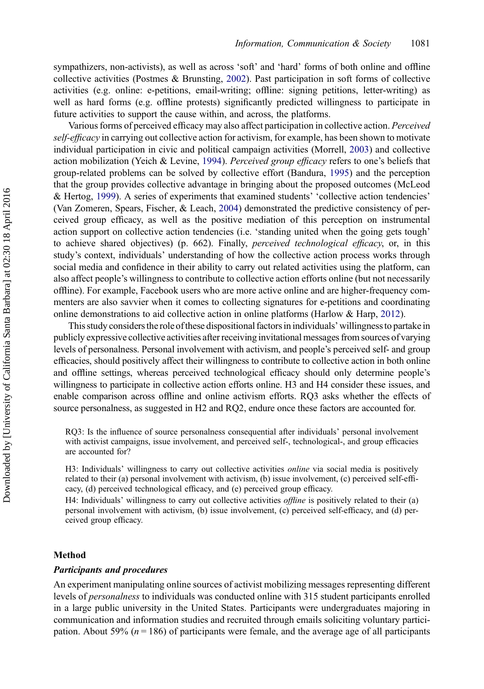sympathizers, non-activists), as well as across 'soft' and 'hard' forms of both online and offline collective activities (Postmes & Brunsting, [2002\)](#page-15-0). Past participation in soft forms of collective activities (e.g. online: e-petitions, email-writing; offline: signing petitions, letter-writing) as well as hard forms (e.g. offline protests) significantly predicted willingness to participate in future activities to support the cause within, and across, the platforms.

Various forms of perceived efficacy may also affect participation in collective action. Perceived self-efficacy in carrying out collective action for activism, for example, has been shown to motivate individual participation in civic and political campaign activities (Morrell, [2003](#page-14-0)) and collective action mobilization (Yeich & Levine, [1994](#page-15-0)). Perceived group efficacy refers to one's beliefs that group-related problems can be solved by collective effort (Bandura, [1995](#page-13-0)) and the perception that the group provides collective advantage in bringing about the proposed outcomes (McLeod & Hertog, [1999](#page-14-0)). A series of experiments that examined students' 'collective action tendencies' (Van Zomeren, Spears, Fischer, & Leach, [2004](#page-15-0)) demonstrated the predictive consistency of perceived group efficacy, as well as the positive mediation of this perception on instrumental action support on collective action tendencies (i.e. 'standing united when the going gets tough' to achieve shared objectives) (p. 662). Finally, perceived technological efficacy, or, in this study's context, individuals' understanding of how the collective action process works through social media and confidence in their ability to carry out related activities using the platform, can also affect people's willingness to contribute to collective action efforts online (but not necessarily offline). For example, Facebook users who are more active online and are higher-frequency commenters are also savvier when it comes to collecting signatures for e-petitions and coordinating online demonstrations to aid collective action in online platforms (Harlow & Harp, [2012](#page-14-0)).

This study considers the role of these dispositional factors in individuals'willingness to partake in publicly expressive collective activities after receiving invitational messages from sources of varying levels of personalness. Personal involvement with activism, and people's perceived self- and group efficacies, should positively affect their willingness to contribute to collective action in both online and offline settings, whereas perceived technological efficacy should only determine people's willingness to participate in collective action efforts online. H3 and H4 consider these issues, and enable comparison across offline and online activism efforts. RQ3 asks whether the effects of source personalness, as suggested in H2 and RQ2, endure once these factors are accounted for.

RQ3: Is the influence of source personalness consequential after individuals' personal involvement with activist campaigns, issue involvement, and perceived self-, technological-, and group efficacies are accounted for?

H3: Individuals' willingness to carry out collective activities online via social media is positively related to their (a) personal involvement with activism, (b) issue involvement, (c) perceived self-efficacy, (d) perceived technological efficacy, and (e) perceived group efficacy.

H4: Individuals' willingness to carry out collective activities offline is positively related to their (a) personal involvement with activism, (b) issue involvement, (c) perceived self-efficacy, and (d) perceived group efficacy.

#### Method

## Participants and procedures

An experiment manipulating online sources of activist mobilizing messages representing different levels of personalness to individuals was conducted online with 315 student participants enrolled in a large public university in the United States. Participants were undergraduates majoring in communication and information studies and recruited through emails soliciting voluntary participation. About 59% ( $n = 186$ ) of participants were female, and the average age of all participants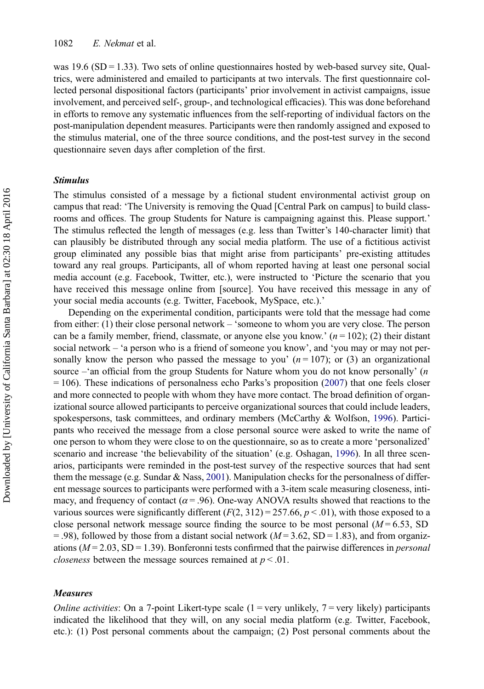was  $19.6$  (SD = 1.33). Two sets of online questionnaires hosted by web-based survey site, Qualtrics, were administered and emailed to participants at two intervals. The first questionnaire collected personal dispositional factors (participants' prior involvement in activist campaigns, issue involvement, and perceived self-, group-, and technological efficacies). This was done beforehand in efforts to remove any systematic influences from the self-reporting of individual factors on the post-manipulation dependent measures. Participants were then randomly assigned and exposed to the stimulus material, one of the three source conditions, and the post-test survey in the second questionnaire seven days after completion of the first.

## Stimulus

The stimulus consisted of a message by a fictional student environmental activist group on campus that read: 'The University is removing the Quad [Central Park on campus] to build classrooms and offices. The group Students for Nature is campaigning against this. Please support.' The stimulus reflected the length of messages (e.g. less than Twitter's 140-character limit) that can plausibly be distributed through any social media platform. The use of a fictitious activist group eliminated any possible bias that might arise from participants' pre-existing attitudes toward any real groups. Participants, all of whom reported having at least one personal social media account (e.g. Facebook, Twitter, etc.), were instructed to 'Picture the scenario that you have received this message online from [source]. You have received this message in any of your social media accounts (e.g. Twitter, Facebook, MySpace, etc.).'

Depending on the experimental condition, participants were told that the message had come from either: (1) their close personal network – 'someone to whom you are very close. The person can be a family member, friend, classmate, or anyone else you know.'  $(n = 102)$ ; (2) their distant social network – 'a person who is a friend of someone you know', and 'you may or may not personally know the person who passed the message to you'  $(n = 107)$ ; or (3) an organizational source  $-\hat{a}$  an official from the group Students for Nature whom you do not know personally' (*n* = 106). These indications of personalness echo Parks's proposition ([2007\)](#page-14-0) that one feels closer and more connected to people with whom they have more contact. The broad definition of organizational source allowed participants to perceive organizational sources that could include leaders, spokespersons, task committees, and ordinary members (McCarthy & Wolfson, [1996\)](#page-14-0). Participants who received the message from a close personal source were asked to write the name of one person to whom they were close to on the questionnaire, so as to create a more 'personalized' scenario and increase 'the believability of the situation' (e.g. Oshagan, [1996](#page-14-0)). In all three scenarios, participants were reminded in the post-test survey of the respective sources that had sent them the message (e.g. Sundar & Nass, [2001](#page-15-0)). Manipulation checks for the personalness of different message sources to participants were performed with a 3-item scale measuring closeness, intimacy, and frequency of contact ( $\alpha$  = .96). One-way ANOVA results showed that reactions to the various sources were significantly different  $(F(2, 312) = 257.66, p < .01)$ , with those exposed to a close personal network message source finding the source to be most personal  $(M = 6.53, SD)$  $= 0.98$ ), followed by those from a distant social network ( $M = 3.62$ , SD = 1.83), and from organizations ( $M = 2.03$ , SD = 1.39). Bonferonni tests confirmed that the pairwise differences in *personal closeness* between the message sources remained at  $p < .01$ .

## Measures

*Online activities*: On a 7-point Likert-type scale  $(1 = \text{very unlikely}, 7 = \text{very likely})$  participants indicated the likelihood that they will, on any social media platform (e.g. Twitter, Facebook, etc.): (1) Post personal comments about the campaign; (2) Post personal comments about the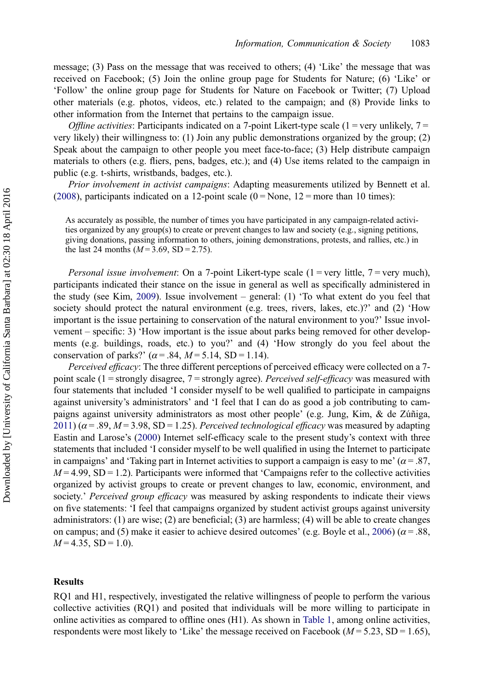message; (3) Pass on the message that was received to others; (4) 'Like' the message that was received on Facebook; (5) Join the online group page for Students for Nature; (6) 'Like' or 'Follow' the online group page for Students for Nature on Facebook or Twitter; (7) Upload other materials (e.g. photos, videos, etc.) related to the campaign; and (8) Provide links to other information from the Internet that pertains to the campaign issue.

*Offline activities:* Participants indicated on a 7-point Likert-type scale (1 = very unlikely,  $7 =$ very likely) their willingness to: (1) Join any public demonstrations organized by the group; (2) Speak about the campaign to other people you meet face-to-face; (3) Help distribute campaign materials to others (e.g. fliers, pens, badges, etc.); and (4) Use items related to the campaign in public (e.g. t-shirts, wristbands, badges, etc.).

Prior involvement in activist campaigns: Adapting measurements utilized by Bennett et al. ([2008\)](#page-13-0), participants indicated on a 12-point scale ( $0 = \text{None}$ ,  $12 = \text{more than 10 times}$ ):

As accurately as possible, the number of times you have participated in any campaign-related activities organized by any group(s) to create or prevent changes to law and society (e.g., signing petitions, giving donations, passing information to others, joining demonstrations, protests, and rallies, etc.) in the last 24 months ( $M = 3.69$ , SD = 2.75).

*Personal issue involvement*: On a 7-point Likert-type scale  $(1 = \text{very little}, 7 = \text{very much})$ , participants indicated their stance on the issue in general as well as specifically administered in the study (see Kim, [2009\)](#page-14-0). Issue involvement – general: (1) 'To what extent do you feel that society should protect the natural environment (e.g. trees, rivers, lakes, etc.)?' and (2) 'How important is the issue pertaining to conservation of the natural environment to you?' Issue involvement – specific: 3) 'How important is the issue about parks being removed for other developments (e.g. buildings, roads, etc.) to you?' and (4) 'How strongly do you feel about the conservation of parks?' ( $\alpha$  = .84,  $M$  = 5.14, SD = 1.14).

Perceived efficacy: The three different perceptions of perceived efficacy were collected on a 7 point scale (1 = strongly disagree,  $7$  = strongly agree). Perceived self-efficacy was measured with four statements that included 'I consider myself to be well qualified to participate in campaigns against university's administrators' and 'I feel that I can do as good a job contributing to campaigns against university administrators as most other people' (e.g. Jung, Kim, & de Zúñiga, [2011](#page-14-0))  $(\alpha = .89, M = 3.98, SD = 1.25)$ . Perceived technological efficacy was measured by adapting Eastin and Larose's [\(2000](#page-14-0)) Internet self-efficacy scale to the present study's context with three statements that included 'I consider myself to be well qualified in using the Internet to participate in campaigns' and 'Taking part in Internet activities to support a campaign is easy to me'  $(\alpha = .87, )$  $M = 4.99$ , SD = 1.2). Participants were informed that 'Campaigns refer to the collective activities organized by activist groups to create or prevent changes to law, economic, environment, and society.' Perceived group efficacy was measured by asking respondents to indicate their views on five statements: 'I feel that campaigns organized by student activist groups against university administrators: (1) are wise; (2) are beneficial; (3) are harmless; (4) will be able to create changes on campus; and (5) make it easier to achieve desired outcomes' (e.g. Boyle et al., [2006\)](#page-13-0) ( $\alpha$  = .88,  $M = 4.35$ , SD = 1.0).

#### Results

RQ1 and H1, respectively, investigated the relative willingness of people to perform the various collective activities (RQ1) and posited that individuals will be more willing to participate in online activities as compared to offline ones (H1). As shown in [Table 1](#page-8-0), among online activities, respondents were most likely to 'Like' the message received on Facebook ( $M = 5.23$ , SD = 1.65),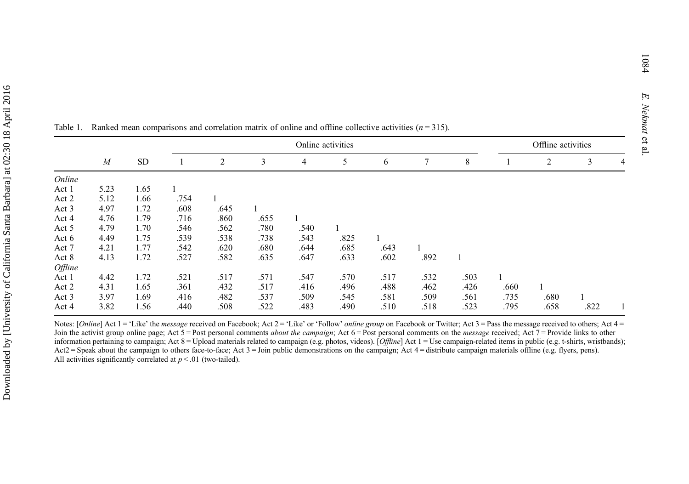|         | M    | <b>SD</b> |      | Online activities |      |      |      |      |      |      | Offline activities |      |      |   |
|---------|------|-----------|------|-------------------|------|------|------|------|------|------|--------------------|------|------|---|
|         |      |           |      | 2                 | 3    | 4    | 5    | 6    | 7    | 8    |                    | 2    | 3    | 4 |
| Online  |      |           |      |                   |      |      |      |      |      |      |                    |      |      |   |
| Act 1   | 5.23 | 1.65      |      |                   |      |      |      |      |      |      |                    |      |      |   |
| Act 2   | 5.12 | 1.66      | .754 |                   |      |      |      |      |      |      |                    |      |      |   |
| Act 3   | 4.97 | 1.72      | .608 | .645              |      |      |      |      |      |      |                    |      |      |   |
| Act 4   | 4.76 | 1.79      | .716 | .860              | .655 |      |      |      |      |      |                    |      |      |   |
| Act 5   | 4.79 | 1.70      | .546 | .562              | .780 | .540 |      |      |      |      |                    |      |      |   |
| Act 6   | 4.49 | 1.75      | .539 | .538              | .738 | .543 | .825 |      |      |      |                    |      |      |   |
| Act 7   | 4.21 | 1.77      | .542 | .620              | .680 | .644 | .685 | .643 |      |      |                    |      |      |   |
| Act 8   | 4.13 | 1.72      | .527 | .582              | .635 | .647 | .633 | .602 | .892 |      |                    |      |      |   |
| Offline |      |           |      |                   |      |      |      |      |      |      |                    |      |      |   |
| Act 1   | 4.42 | 1.72      | .521 | .517              | .571 | .547 | .570 | .517 | .532 | .503 |                    |      |      |   |
| Act 2   | 4.31 | 1.65      | .361 | .432              | .517 | .416 | .496 | .488 | .462 | .426 | .660               |      |      |   |
| Act 3   | 3.97 | 1.69      | .416 | .482              | .537 | .509 | .545 | .581 | .509 | .561 | .735               | .680 |      |   |
| Act 4   | 3.82 | 1.56      | .440 | .508              | .522 | .483 | .490 | .510 | .518 | .523 | .795               | .658 | .822 |   |
|         |      |           |      |                   |      |      |      |      |      |      |                    |      |      |   |

<span id="page-8-0"></span>Table 1. Ranked mean comparisons and correlation matrix of online and offline collective activities  $(n=315)$ .

Notes:  $[Online]$  Act 1 = 'Like' the *message* received on Facebook; Act 2 = 'Like' or 'Follow' *online group* on Facebook or Twitter; Act 3 = Pass the message received to others; Act 4 = Join the activist group online page; Act  $5 =$  Post personal comments *about the campaign*; Act  $6 =$  Post personal comments on the *message* received; Act  $7 =$  Provide links to other information pertaining to campaign; Act 8 = Upload materials related to campaign (e.g. photos, videos). [Offline] Act 1 = Use campaign-related items in public (e.g. t-shirts, wristbands); Act2 = Speak about the campaign to others face-to-face; Act 3 = Join public demonstrations on the campaign; Act 4 = distribute campaign materials offline (e.g. flyers, pens). All activities significantly correlated at  $p < .01$  (two-tailed).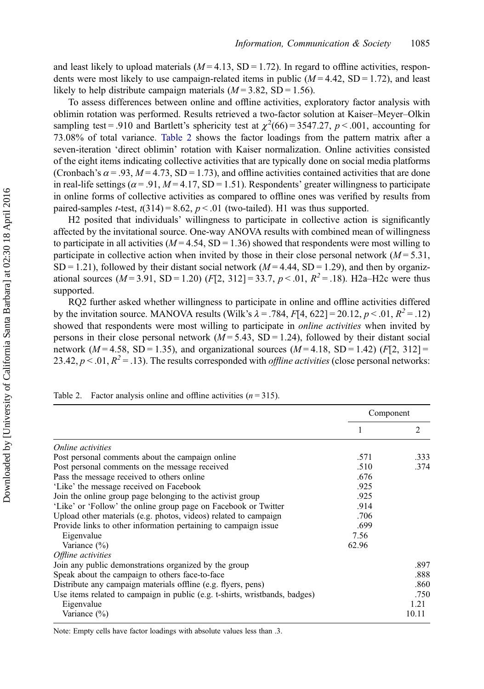and least likely to upload materials  $(M = 4.13, SD = 1.72)$ . In regard to offline activities, respondents were most likely to use campaign-related items in public  $(M=4.42, SD=1.72)$ , and least likely to help distribute campaign materials  $(M = 3.82, SD = 1.56)$ .

To assess differences between online and offline activities, exploratory factor analysis with oblimin rotation was performed. Results retrieved a two-factor solution at Kaiser–Meyer–Olkin sampling test = .910 and Bartlett's sphericity test at  $\chi^2(66) = 3547.27$ ,  $p < .001$ , accounting for 73.08% of total variance. Table 2 shows the factor loadings from the pattern matrix after a seven-iteration 'direct oblimin' rotation with Kaiser normalization. Online activities consisted of the eight items indicating collective activities that are typically done on social media platforms (Cronbach's  $\alpha$  = .93,  $M$  = 4.73, SD = 1.73), and offline activities contained activities that are done in real-life settings ( $\alpha$  = .91,  $M$  = 4.17, SD = 1.51). Respondents' greater willingness to participate in online forms of collective activities as compared to offline ones was verified by results from paired-samples t-test,  $t(314) = 8.62$ ,  $p < .01$  (two-tailed). H1 was thus supported.

H2 posited that individuals' willingness to participate in collective action is significantly affected by the invitational source. One-way ANOVA results with combined mean of willingness to participate in all activities ( $M = 4.54$ , SD = 1.36) showed that respondents were most willing to participate in collective action when invited by those in their close personal network  $(M = 5.31)$ ,  $SD = 1.21$ ), followed by their distant social network ( $M = 4.44$ ,  $SD = 1.29$ ), and then by organizational sources ( $M = 3.91$ , SD = 1.20) ( $F[2, 312] = 33.7$ ,  $p < .01$ ,  $R^2 = .18$ ). H2a–H2c were thus supported.

RQ2 further asked whether willingness to participate in online and offline activities differed by the invitation source. MANOVA results (Wilk's  $\lambda = .784$ ,  $F[4, 622] = 20.12$ ,  $p < .01$ ,  $R^2 = .12$ ) showed that respondents were most willing to participate in online activities when invited by persons in their close personal network  $(M = 5.43, SD = 1.24)$ , followed by their distant social network ( $M = 4.58$ , SD = 1.35), and organizational sources ( $M = 4.18$ , SD = 1.42) ( $F[2, 312] =$ 23.42,  $p < 0.01$ ,  $R^2 = 0.13$ ). The results corresponded with *offline activities* (close personal networks:

|                                                                             | Component |               |  |
|-----------------------------------------------------------------------------|-----------|---------------|--|
|                                                                             |           | $\mathcal{L}$ |  |
| Online activities                                                           |           |               |  |
| Post personal comments about the campaign online                            | .571      | .333          |  |
| Post personal comments on the message received                              | .510      | .374          |  |
| Pass the message received to others online                                  | .676      |               |  |
| 'Like' the message received on Facebook                                     | .925      |               |  |
| Join the online group page belonging to the activist group                  | .925      |               |  |
| 'Like' or 'Follow' the online group page on Facebook or Twitter             | .914      |               |  |
| Upload other materials (e.g. photos, videos) related to campaign            | .706      |               |  |
| Provide links to other information pertaining to campaign issue.            | .699      |               |  |
| Eigenvalue                                                                  | 7.56      |               |  |
| Variance $(\% )$                                                            | 62.96     |               |  |
| Offline activities                                                          |           |               |  |
| Join any public demonstrations organized by the group                       |           | .897          |  |
| Speak about the campaign to others face-to-face                             |           | .888          |  |
| Distribute any campaign materials offline (e.g. flyers, pens)               |           | .860          |  |
| Use items related to campaign in public (e.g. t-shirts, wristbands, badges) |           | .750          |  |
| Eigenvalue                                                                  |           | 1.21          |  |
| Variance $(\% )$                                                            |           | 10.11         |  |

Table 2. Factor analysis online and offline activities  $(n = 315)$ .

Note: Empty cells have factor loadings with absolute values less than .3.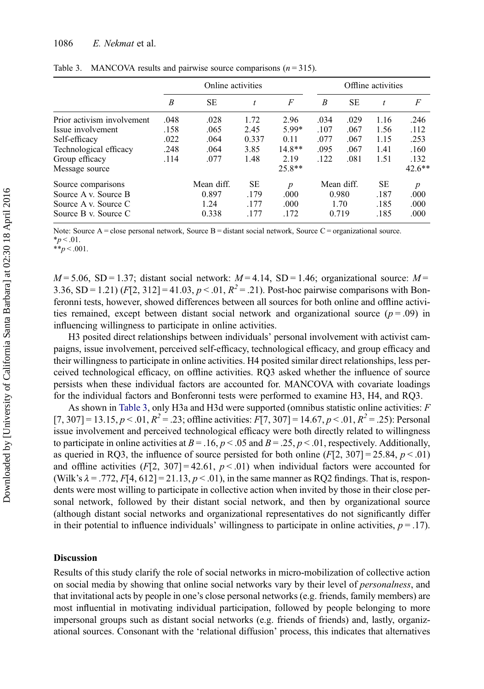|                            |      | Online activities | Offline activities |                  |            |           |                  |                  |
|----------------------------|------|-------------------|--------------------|------------------|------------|-----------|------------------|------------------|
|                            | B    | <b>SE</b>         | t                  | $\overline{F}$   | B          | <b>SE</b> | $\boldsymbol{t}$ | F                |
| Prior activism involvement | .048 | .028              | 1.72               | 2.96             | .034       | .029      | 1.16             | .246             |
| Issue involvement          | .158 | .065              | 2.45               | $5.99*$          | .107       | .067      | 1.56             | .112             |
| Self-efficacy              | .022 | .064              | 0.337              | 0.11             | .077       | .067      | 1.15             | .253             |
| Technological efficacy     | .248 | .064              | 3.85               | $14.8**$         | .095       | .067      | 1.41             | .160             |
| Group efficacy             | .114 | .077              | 1.48               | 2.19             | .122       | .081      | 1.51             | .132             |
| Message source             |      |                   |                    | $25.8**$         |            |           |                  | $42.6**$         |
| Source comparisons         |      | Mean diff.        | SЕ                 | $\boldsymbol{p}$ | Mean diff. |           | SЕ               | $\boldsymbol{p}$ |
| Source A v. Source B       |      | 0.897             | .179               | .000             | 0.980      |           | .187             | .000             |
| Source A v. Source C       |      | 1.24              | .177               | .000             | 1.70       |           | .185             | .000             |
| Source B v. Source C       |      | 0.338             | .177               | .172             | 0.719      |           | .185             | .000             |

Table 3. MANCOVA results and pairwise source comparisons  $(n = 315)$ .

Note: Source  $A = close$  personal network, Source  $B =$  distant social network, Source  $C =$  organizational source.  $*_{p}$  < .01.

 $**_p < .001$ .

 $M = 5.06$ , SD = 1.37; distant social network:  $M = 4.14$ , SD = 1.46; organizational source:  $M =$ 3.36, SD = 1.21) ( $F[2, 312] = 41.03$ ,  $p < 0.01$ ,  $R^2 = 0.21$ ). Post-hoc pairwise comparisons with Bonferonni tests, however, showed differences between all sources for both online and offline activities remained, except between distant social network and organizational source  $(p = .09)$  in influencing willingness to participate in online activities.

H3 posited direct relationships between individuals' personal involvement with activist campaigns, issue involvement, perceived self-efficacy, technological efficacy, and group efficacy and their willingness to participate in online activities. H4 posited similar direct relationships, less perceived technological efficacy, on offline activities. RQ3 asked whether the influence of source persists when these individual factors are accounted for. MANCOVA with covariate loadings for the individual factors and Bonferonni tests were performed to examine H3, H4, and RQ3.

As shown in Table 3, only H3a and H3d were supported (omnibus statistic online activities: F  $[7, 307] = 13.15$ ,  $p < 0.01$ ,  $R^2 = 0.23$ ; offline activities:  $F[7, 307] = 14.67$ ,  $p < 0.01$ ,  $R^2 = 0.25$ ): Personal issue involvement and perceived technological efficacy were both directly related to willingness to participate in online activities at  $B = .16$ ,  $p < .05$  and  $B = .25$ ,  $p < .01$ , respectively. Additionally, as queried in RQ3, the influence of source persisted for both online  $(F[2, 307] = 25.84, p < .01)$ and offline activities (F[2, 307] = 42.61,  $p < .01$ ) when individual factors were accounted for (Wilk's  $\lambda = .772$ ,  $F[4, 612] = 21.13$ ,  $p < .01$ ), in the same manner as RQ2 findings. That is, respondents were most willing to participate in collective action when invited by those in their close personal network, followed by their distant social network, and then by organizational source (although distant social networks and organizational representatives do not significantly differ in their potential to influence individuals' willingness to participate in online activities,  $p = .17$ ).

### **Discussion**

Results of this study clarify the role of social networks in micro-mobilization of collective action on social media by showing that online social networks vary by their level of personalness, and that invitational acts by people in one's close personal networks (e.g. friends, family members) are most influential in motivating individual participation, followed by people belonging to more impersonal groups such as distant social networks (e.g. friends of friends) and, lastly, organizational sources. Consonant with the 'relational diffusion' process, this indicates that alternatives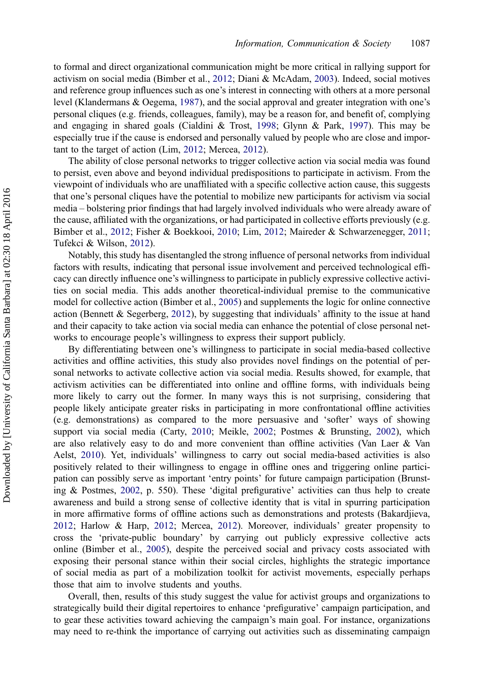to formal and direct organizational communication might be more critical in rallying support for activism on social media (Bimber et al., [2012;](#page-13-0) Diani & McAdam, [2003\)](#page-14-0). Indeed, social motives and reference group influences such as one's interest in connecting with others at a more personal level (Klandermans & Oegema, [1987](#page-14-0)), and the social approval and greater integration with one's personal cliques (e.g. friends, colleagues, family), may be a reason for, and benefit of, complying and engaging in shared goals (Cialdini & Trost, [1998;](#page-13-0) Glynn & Park, [1997](#page-14-0)). This may be especially true if the cause is endorsed and personally valued by people who are close and important to the target of action (Lim, [2012](#page-14-0); Mercea, [2012](#page-14-0)).

The ability of close personal networks to trigger collective action via social media was found to persist, even above and beyond individual predispositions to participate in activism. From the viewpoint of individuals who are unaffiliated with a specific collective action cause, this suggests that one's personal cliques have the potential to mobilize new participants for activism via social media – bolstering prior findings that had largely involved individuals who were already aware of the cause, affiliated with the organizations, or had participated in collective efforts previously (e.g. Bimber et al., [2012;](#page-13-0) Fisher & Boekkooi, [2010;](#page-14-0) Lim, [2012;](#page-14-0) Maireder & Schwarzenegger, [2011;](#page-14-0) Tufekci & Wilson, [2012\)](#page-15-0).

Notably, this study has disentangled the strong influence of personal networks from individual factors with results, indicating that personal issue involvement and perceived technological efficacy can directly influence one's willingness to participate in publicly expressive collective activities on social media. This adds another theoretical-individual premise to the communicative model for collective action (Bimber et al., [2005\)](#page-13-0) and supplements the logic for online connective action (Bennett & Segerberg, [2012\)](#page-13-0), by suggesting that individuals' affinity to the issue at hand and their capacity to take action via social media can enhance the potential of close personal networks to encourage people's willingness to express their support publicly.

By differentiating between one's willingness to participate in social media-based collective activities and offline activities, this study also provides novel findings on the potential of personal networks to activate collective action via social media. Results showed, for example, that activism activities can be differentiated into online and offline forms, with individuals being more likely to carry out the former. In many ways this is not surprising, considering that people likely anticipate greater risks in participating in more confrontational offline activities (e.g. demonstrations) as compared to the more persuasive and 'softer' ways of showing support via social media (Carty, [2010;](#page-13-0) Meikle, [2002;](#page-14-0) Postmes & Brunsting, [2002\)](#page-15-0), which are also relatively easy to do and more convenient than offline activities (Van Laer & Van Aelst, [2010\)](#page-15-0). Yet, individuals' willingness to carry out social media-based activities is also positively related to their willingness to engage in offline ones and triggering online participation can possibly serve as important 'entry points' for future campaign participation (Brunsting & Postmes, [2002,](#page-13-0) p. 550). These 'digital prefigurative' activities can thus help to create awareness and build a strong sense of collective identity that is vital in spurring participation in more affirmative forms of offline actions such as demonstrations and protests (Bakardjieva, [2012;](#page-13-0) Harlow & Harp, [2012](#page-14-0); Mercea, [2012](#page-14-0)). Moreover, individuals' greater propensity to cross the 'private-public boundary' by carrying out publicly expressive collective acts online (Bimber et al., [2005](#page-13-0)), despite the perceived social and privacy costs associated with exposing their personal stance within their social circles, highlights the strategic importance of social media as part of a mobilization toolkit for activist movements, especially perhaps those that aim to involve students and youths.

Overall, then, results of this study suggest the value for activist groups and organizations to strategically build their digital repertoires to enhance 'prefigurative' campaign participation, and to gear these activities toward achieving the campaign's main goal. For instance, organizations may need to re-think the importance of carrying out activities such as disseminating campaign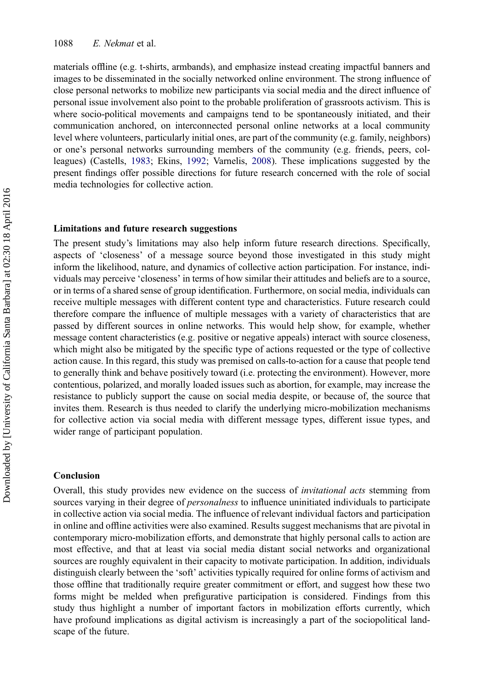materials offline (e.g. t-shirts, armbands), and emphasize instead creating impactful banners and images to be disseminated in the socially networked online environment. The strong influence of close personal networks to mobilize new participants via social media and the direct influence of personal issue involvement also point to the probable proliferation of grassroots activism. This is where socio-political movements and campaigns tend to be spontaneously initiated, and their communication anchored, on interconnected personal online networks at a local community level where volunteers, particularly initial ones, are part of the community (e.g. family, neighbors) or one's personal networks surrounding members of the community (e.g. friends, peers, colleagues) (Castells, [1983](#page-13-0); Ekins, [1992](#page-14-0); Varnelis, [2008\)](#page-15-0). These implications suggested by the present findings offer possible directions for future research concerned with the role of social media technologies for collective action.

#### Limitations and future research suggestions

The present study's limitations may also help inform future research directions. Specifically, aspects of 'closeness' of a message source beyond those investigated in this study might inform the likelihood, nature, and dynamics of collective action participation. For instance, individuals may perceive 'closeness' in terms of how similar their attitudes and beliefs are to a source, or in terms of a shared sense of group identification. Furthermore, on social media, individuals can receive multiple messages with different content type and characteristics. Future research could therefore compare the influence of multiple messages with a variety of characteristics that are passed by different sources in online networks. This would help show, for example, whether message content characteristics (e.g. positive or negative appeals) interact with source closeness, which might also be mitigated by the specific type of actions requested or the type of collective action cause. In this regard, this study was premised on calls-to-action for a cause that people tend to generally think and behave positively toward (i.e. protecting the environment). However, more contentious, polarized, and morally loaded issues such as abortion, for example, may increase the resistance to publicly support the cause on social media despite, or because of, the source that invites them. Research is thus needed to clarify the underlying micro-mobilization mechanisms for collective action via social media with different message types, different issue types, and wider range of participant population.

#### Conclusion

Overall, this study provides new evidence on the success of invitational acts stemming from sources varying in their degree of *personalness* to influence uninitiated individuals to participate in collective action via social media. The influence of relevant individual factors and participation in online and offline activities were also examined. Results suggest mechanisms that are pivotal in contemporary micro-mobilization efforts, and demonstrate that highly personal calls to action are most effective, and that at least via social media distant social networks and organizational sources are roughly equivalent in their capacity to motivate participation. In addition, individuals distinguish clearly between the 'soft' activities typically required for online forms of activism and those offline that traditionally require greater commitment or effort, and suggest how these two forms might be melded when prefigurative participation is considered. Findings from this study thus highlight a number of important factors in mobilization efforts currently, which have profound implications as digital activism is increasingly a part of the sociopolitical landscape of the future.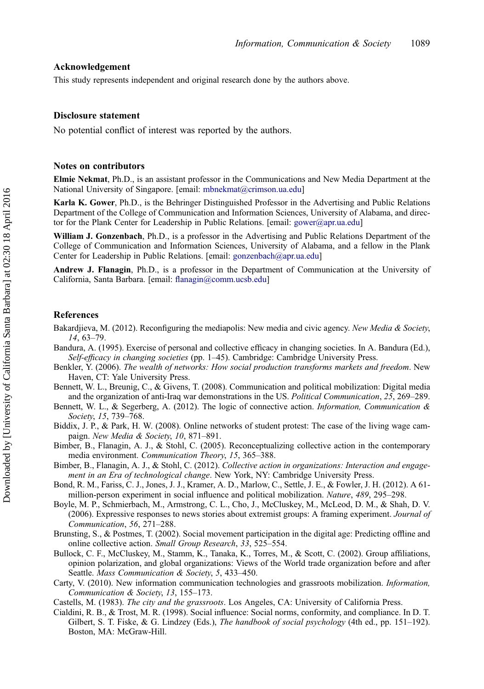#### <span id="page-13-0"></span>Acknowledgement

This study represents independent and original research done by the authors above.

#### Disclosure statement

No potential conflict of interest was reported by the authors.

## Notes on contributors

Elmie Nekmat, Ph.D., is an assistant professor in the Communications and New Media Department at the National University of Singapore. [email: [mbnekmat@crimson.ua.edu\]](mailto:mbnekmat@crimson.ua.edu)

Karla K. Gower, Ph.D., is the Behringer Distinguished Professor in the Advertising and Public Relations Department of the College of Communication and Information Sciences, University of Alabama, and director for the Plank Center for Leadership in Public Relations. [email: [gower@apr.ua.edu](mailto:gower@apr.ua.edu)]

William J. Gonzenbach, Ph.D., is a professor in the Advertising and Public Relations Department of the College of Communication and Information Sciences, University of Alabama, and a fellow in the Plank Center for Leadership in Public Relations. [email: [gonzenbach@apr.ua.edu](mailto:gonzenbach@apr.ua.edu)]

Andrew J. Flanagin, Ph.D., is a professor in the Department of Communication at the University of California, Santa Barbara. [email: fl[anagin@comm.ucsb.edu\]](mailto:flanagin@comm.ucsb.edu)

## References

- Bakardijeva, M. (2012). Reconfiguring the mediapolis: New media and civic agency. New Media & Society, 14, 63–79.
- Bandura, A. (1995). Exercise of personal and collective efficacy in changing societies. In A. Bandura (Ed.), Self-efficacy in changing societies (pp. 1–45). Cambridge: Cambridge University Press.
- Benkler, Y. (2006). The wealth of networks: How social production transforms markets and freedom. New Haven, CT: Yale University Press.
- Bennett, W. L., Breunig, C., & Givens, T. (2008). Communication and political mobilization: Digital media and the organization of anti-Iraq war demonstrations in the US. Political Communication, 25, 269–289.
- Bennett, W. L., & Segerberg, A. (2012). The logic of connective action. Information, Communication & Society, 15, 739–768.
- Biddix, J. P., & Park, H. W. (2008). Online networks of student protest: The case of the living wage campaign. New Media & Society, 10, 871–891.
- Bimber, B., Flanagin, A. J., & Stohl, C. (2005). Reconceptualizing collective action in the contemporary media environment. Communication Theory, 15, 365–388.
- Bimber, B., Flanagin, A. J., & Stohl, C. (2012). Collective action in organizations: Interaction and engagement in an Era of technological change. New York, NY: Cambridge University Press.
- Bond, R. M., Fariss, C. J., Jones, J. J., Kramer, A. D., Marlow, C., Settle, J. E., & Fowler, J. H. (2012). A 61 million-person experiment in social influence and political mobilization. Nature, 489, 295–298.
- Boyle, M. P., Schmierbach, M., Armstrong, C. L., Cho, J., McCluskey, M., McLeod, D. M., & Shah, D. V. (2006). Expressive responses to news stories about extremist groups: A framing experiment. Journal of Communication, 56, 271–288.
- Brunsting, S., & Postmes, T. (2002). Social movement participation in the digital age: Predicting offline and online collective action. Small Group Research, 33, 525–554.
- Bullock, C. F., McCluskey, M., Stamm, K., Tanaka, K., Torres, M., & Scott, C. (2002). Group affiliations, opinion polarization, and global organizations: Views of the World trade organization before and after Seattle. Mass Communication & Society, 5, 433–450.
- Carty, V. (2010). New information communication technologies and grassroots mobilization. Information, Communication & Society, 13, 155–173.
- Castells, M. (1983). The city and the grassroots. Los Angeles, CA: University of California Press.
- Cialdini, R. B., & Trost, M. R. (1998). Social influence: Social norms, conformity, and compliance. In D. T. Gilbert, S. T. Fiske, & G. Lindzey (Eds.), The handbook of social psychology (4th ed., pp. 151–192). Boston, MA: McGraw-Hill.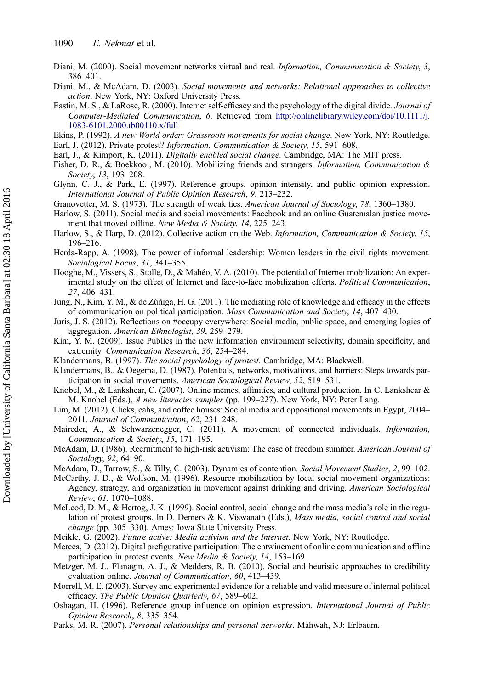- <span id="page-14-0"></span>Diani, M. (2000). Social movement networks virtual and real. *Information, Communication & Society*, 3, 386–401.
- Diani, M., & McAdam, D. (2003). Social movements and networks: Relational approaches to collective action. New York, NY: Oxford University Press.
- Eastin, M. S., & LaRose, R. (2000). Internet self-efficacy and the psychology of the digital divide. Journal of Computer-Mediated Communication, 6. Retrieved from [http://onlinelibrary.wiley.com/doi/10.1111/j.](http://onlinelibrary.wiley.com/doi/10.1111/j.1083-6101.2000.tb00110.x/full) [1083-6101.2000.tb00110.x/full](http://onlinelibrary.wiley.com/doi/10.1111/j.1083-6101.2000.tb00110.x/full)

Ekins, P. (1992). A new World order: Grassroots movements for social change. New York, NY: Routledge. Earl, J. (2012). Private protest? Information, Communication & Society, 15, 591–608.

- Earl, J., & Kimport, K. (2011). Digitally enabled social change. Cambridge, MA: The MIT press.
- Fisher, D. R., & Boekkooi, M. (2010). Mobilizing friends and strangers. Information, Communication & Society, 13, 193–208.
- Glynn, C. J., & Park, E. (1997). Reference groups, opinion intensity, and public opinion expression. International Journal of Public Opinion Research, 9, 213–232.
- Granovetter, M. S. (1973). The strength of weak ties. American Journal of Sociology, 78, 1360–1380.
- Harlow, S. (2011). Social media and social movements: Facebook and an online Guatemalan justice movement that moved offline. New Media & Society, 14, 225–243.
- Harlow, S., & Harp, D. (2012). Collective action on the Web. *Information, Communication & Society*, 15, 196–216.
- Herda-Rapp, A. (1998). The power of informal leadership: Women leaders in the civil rights movement. Sociological Focus, 31, 341–355.
- Hooghe, M., Vissers, S., Stolle, D., & Mahéo, V. A. (2010). The potential of Internet mobilization: An experimental study on the effect of Internet and face-to-face mobilization efforts. Political Communication, 27, 406–431.
- Jung, N., Kim, Y. M., & de Zúñiga, H. G. (2011). The mediating role of knowledge and efficacy in the effects of communication on political participation. Mass Communication and Society, 14, 407–430.
- Juris, J. S. (2012). Reflections on #occupy everywhere: Social media, public space, and emerging logics of aggregation. American Ethnologist, 39, 259–279.
- Kim, Y. M. (2009). Issue Publics in the new information environment selectivity, domain specificity, and extremity. Communication Research, 36, 254–284.
- Klandermans, B. (1997). The social psychology of protest. Cambridge, MA: Blackwell.
- Klandermans, B., & Oegema, D. (1987). Potentials, networks, motivations, and barriers: Steps towards participation in social movements. American Sociological Review, 52, 519–531.
- Knobel, M., & Lankshear, C. (2007). Online memes, affinities, and cultural production. In C. Lankshear & M. Knobel (Eds.), A new literacies sampler (pp. 199–227). New York, NY: Peter Lang.
- Lim, M. (2012). Clicks, cabs, and coffee houses: Social media and oppositional movements in Egypt, 2004– 2011. Journal of Communication, 62, 231–248.
- Maireder, A., & Schwarzenegger, C. (2011). A movement of connected individuals. Information, Communication & Society, 15, 171–195.
- McAdam, D. (1986). Recruitment to high-risk activism: The case of freedom summer. American Journal of Sociology, 92, 64–90.
- McAdam, D., Tarrow, S., & Tilly, C. (2003). Dynamics of contention. Social Movement Studies, 2, 99–102.
- McCarthy, J. D., & Wolfson, M. (1996). Resource mobilization by local social movement organizations: Agency, strategy, and organization in movement against drinking and driving. American Sociological Review, 61, 1070–1088.
- McLeod, D. M., & Hertog, J. K. (1999). Social control, social change and the mass media's role in the regulation of protest groups. In D. Demers & K. Viswanath (Eds.), Mass media, social control and social change (pp. 305–330). Ames: Iowa State University Press.
- Meikle, G. (2002). Future active: Media activism and the Internet. New York, NY: Routledge.
- Mercea, D. (2012). Digital prefigurative participation: The entwinement of online communication and offline participation in protest events. New Media & Society, 14, 153–169.
- Metzger, M. J., Flanagin, A. J., & Medders, R. B. (2010). Social and heuristic approaches to credibility evaluation online. Journal of Communication, 60, 413–439.
- Morrell, M. E. (2003). Survey and experimental evidence for a reliable and valid measure of internal political efficacy. The Public Opinion Quarterly, 67, 589–602.
- Oshagan, H. (1996). Reference group influence on opinion expression. International Journal of Public Opinion Research, 8, 335–354.
- Parks, M. R. (2007). Personal relationships and personal networks. Mahwah, NJ: Erlbaum.